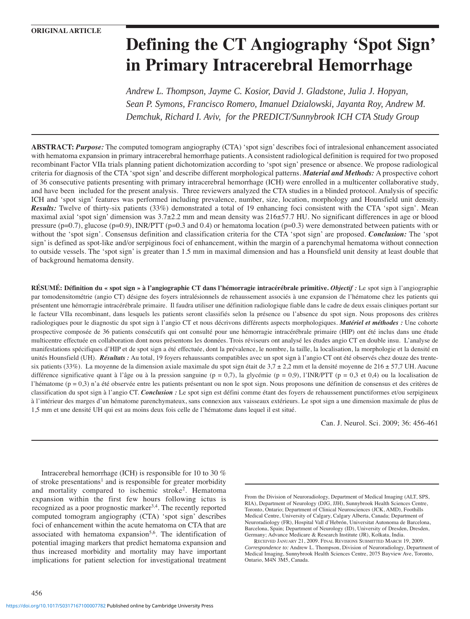# **Defining the CT Angiography 'Spot Sign' in Primary Intracerebral Hemorrhage**

*Andrew L. Thompson, Jayme C. Kosior, David J. Gladstone, Julia J. Hopyan, Sean P. Symons, Francisco Romero, Imanuel Dzialowski, Jayanta Roy, Andrew M. Demchuk, Richard I. Aviv, for the PREDICT/Sunnybrook ICH CTA Study Group*

**ABSTRACT:** *Purpose:* The computed tomogram angiography (CTA) 'spot sign' describes foci of intralesional enhancement associated with hematoma expansion in primary intracerebral hemorrhage patients. A consistent radiological definition is required for two proposed recombinant Factor VIIa trials planning patient dichotomization according to 'spot sign' presence or absence. We propose radiological criteria for diagnosis of the CTA 'spot sign' and describe different morphological patterns. *Material and Methods:* A prospective cohort of 36 consecutive patients presenting with primary intracerebral hemorrhage (ICH) were enrolled in a multicenter collaborative study, and have been included for the present analysis. Three reviewers analyzed the CTA studies in a blinded protocol. Analysis of specific ICH and 'spot sign' features was performed including prevalence, number, size, location, morphology and Hounsfield unit density. *Results:* Twelve of thirty-six patients (33%) demonstrated a total of 19 enhancing foci consistent with the CTA 'spot sign'. Mean maximal axial 'spot sign' dimension was 3.7±2.2 mm and mean density was 216±57.7 HU. No significant differences in age or blood pressure (p=0.7), glucose (p=0.9), INR/PTT (p=0.3 and 0.4) or hematoma location (p=0.3) were demonstrated between patients with or without the 'spot sign'. Consensus definition and classification criteria for the CTA 'spot sign' are proposed. *Conclusion:* The 'spot sign' is defined as spot-like and/or serpiginous foci of enhancement, within the margin of a parenchymal hematoma without connection to outside vessels. The 'spot sign' is greater than 1.5 mm in maximal dimension and has a Hounsfield unit density at least double that of background hematoma density.

**RÉSUMÉ: Définition du « spot sign » à l'angiographie CT dans l'hémorragie intracérébrale primitive.** *Objectif :* Le spot sign à l'angiographie par tomodensitométrie (angio CT) désigne des foyers intralésionnels de rehaussement associés à une expansion de l'hématome chez les patients qui présentent une hémorragie intracérébrale primaire. Il faudra utiliser une définition radiologique fiable dans le cadre de deux essais cliniques portant sur le facteur VIIa recombinant, dans lesquels les patients seront classifiés selon la présence ou l'absence du spot sign. Nous proposons des critères radiologiques pour le diagnostic du spot sign à l'angio CT et nous décrivons différents aspects morphologiques. *Matériel et méthodes :* Une cohorte prospective composée de 36 patients consécutifs qui ont consulté pour une hémorragie intracérébrale primaire (HIP) ont été inclus dans une étude multicentre effectuée en collaboration dont nous présentons les données. Trois réviseurs ont analysé les études angio CT en double insu. L'analyse de manifestations spécifiques d'HIP et de spot sign a été effectuée, dont la prévalence, le nombre, la taille, la localisation, la morphologie et la densité en unités Hounsfield (UH). *Résultats* : Au total, 19 foyers rehaussants compatibles avec un spot sign à l'angio CT ont été observés chez douze des trentesix patients (33%). La moyenne de la dimension axiale maximale du spot sign était de  $3.7 \pm 2.2$  mm et la densité moyenne de  $216 \pm 57.7$  UH. Aucune différence significative quant à l'âge ou à la pression sanguine (p = 0,7), la glycémie (p = 0,9), l'INR/PTT (p = 0,3 et 0,4) ou la localisation de l'hématome (p = 0,3) n'a été observée entre les patients présentant ou non le spot sign. Nous proposons une définition de consensus et des critères de classification du spot sign à l'angio CT. *Conclusion :* Le spot sign est défini comme étant des foyers de rehaussement punctiformes et/ou serpigineux à l'intérieur des marges d'un hématome parenchymateux, sans connexion aux vaisseaux extérieurs. Le spot sign a une dimension maximale de plus de 1,5 mm et une densité UH qui est au moins deux fois celle de l'hématome dans lequel il est situé.

Can. J. Neurol. Sci. 2009; 36: 456-461

Intracerebral hemorrhage (ICH) is responsible for 10 to 30 % of stroke presentations<sup>1</sup> and is responsible for greater morbidity and mortality compared to ischemic stroke2. Hematoma expansion within the first few hours following ictus is recognized as a poor prognostic marker<sup>3,4</sup>. The recently reported computed tomogram angiography (CTA) 'spot sign' describes foci of enhancement within the acute hematoma on CTA that are associated with hematoma expansion<sup>5,6</sup>. The identification of potential imaging markers that predict hematoma expansion and thus increased morbidity and mortality may have important implications for patient selection for investigational treatment

From the Division of Neuroradiology, Department of Medical Imaging (ALT, SPS, RIA), Department of Neurology (DJG, JJH), Sunnybrook Health Sciences Centre, Toronto, Ontario; Department of Clinical Neurosciences (JCK, AMD), Foothills Medical Centre, University of Calgary, Calgary Alberta, Canada; Department of Neuroradiology (FR), Hospital Vall d'Hebrón, Universitat Autonoma de Barcelona, Barcelona, Spain; Department of Neurology (ID), University of Dresden, Dresden, Germany; Advance Medicare & Research Institute (JR), Kolkata, India.

456

RECEIVED JANUARY 21, 2009. FINAL REVISIONS SUBMITTED MARCH 19, 2009. *Correspondence to:* Andrew L. Thompson, Division of Neuroradiology, Department of Medical Imaging, Sunnybrook Health Sciences Centre, 2075 Bayview Ave, Toronto, Ontario, M4N 3M5, Canada.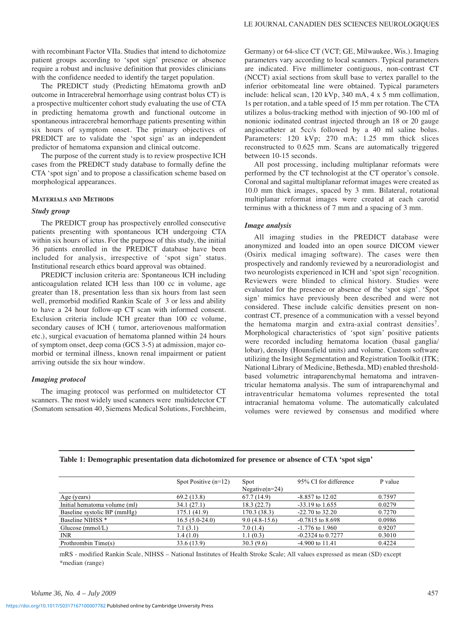with recombinant Factor VIIa. Studies that intend to dichotomize patient groups according to 'spot sign' presence or absence require a robust and inclusive definition that provides clinicians with the confidence needed to identify the target population.

The PREDICT study (Predicting hEmatoma growth anD outcome in Intracerebral hemorrhage using contrast bolus CT) is a prospective multicenter cohort study evaluating the use of CTA in predicting hematoma growth and functional outcome in spontaneous intracerebral hemorrhage patients presenting within six hours of symptom onset. The primary objectives of PREDICT are to validate the 'spot sign' as an independent predictor of hematoma expansion and clinical outcome.

The purpose of the current study is to review prospective ICH cases from the PREDICT study database to formally define the CTA 'spot sign' and to propose a classification scheme based on morphological appearances.

## **MATERIALS AND METHODS**

# *Study group*

The PREDICT group has prospectively enrolled consecutive patients presenting with spontaneous ICH undergoing CTA within six hours of ictus. For the purpose of this study, the initial 36 patients enrolled in the PREDICT database have been included for analysis, irrespective of 'spot sign' status. Institutional research ethics board approval was obtained.

PREDICT inclusion criteria are: Spontaneous ICH including anticoagulation related ICH less than 100 cc in volume, age greater than 18, presentation less than six hours from last seen well, premorbid modified Rankin Scale of 3 or less and ability to have a 24 hour follow-up CT scan with informed consent. Exclusion criteria include ICH greater than 100 cc volume, secondary causes of ICH ( tumor, arteriovenous malformation etc.), surgical evacuation of hematoma planned within 24 hours of symptom onset, deep coma (GCS 3-5) at admission, major comorbid or terminal illness, known renal impairment or patient arriving outside the six hour window.

#### *Imaging protocol*

The imaging protocol was performed on multidetector CT scanners. The most widely used scanners were multidetector CT (Somatom sensation 40, Siemens Medical Solutions, Forchheim, Germany) or 64-slice CT (VCT; GE, Milwaukee, Wis.). Imaging parameters vary according to local scanners. Typical parameters are indicated. Five millimeter contiguous, non-contrast CT (NCCT) axial sections from skull base to vertex parallel to the inferior orbitomeatal line were obtained. Typical parameters include: helical scan, 120 kVp, 340 mA, 4 x 5 mm collimation, 1s per rotation, and a table speed of 15 mm per rotation. The CTA utilizes a bolus-tracking method with injection of 90-100 ml of nonionic iodinated contrast injected through an 18 or 20 gauge angiocatheter at 5cc/s followed by a 40 ml saline bolus. Parameters: 120 kVp; 270 mA; 1.25 mm thick slices reconstructed to 0.625 mm. Scans are automatically triggered between 10-15 seconds.

All post processing, including multiplanar reformats were performed by the CT technologist at the CT operator's console. Coronal and sagittal multiplanar reformat images were created as 10.0 mm thick images, spaced by 3 mm. Bilateral, rotational multiplanar reformat images were created at each carotid terminus with a thickness of 7 mm and a spacing of 3 mm.

# *Image analysis*

All imaging studies in the PREDICT database were anonymized and loaded into an open source DICOM viewer (Osirix medical imaging software). The cases were then prospectively and randomly reviewed by a neuroradiologist and two neurologists experienced in ICH and 'spot sign' recognition. Reviewers were blinded to clinical history. Studies were evaluated for the presence or absence of the 'spot sign'. 'Spot sign' mimics have previously been described and were not considered. These include calcific densities present on noncontrast CT, presence of a communication with a vessel beyond the hematoma margin and extra-axial contrast densities<sup>7</sup>. Morphological characteristics of 'spot sign' positive patients were recorded including hematoma location (basal ganglia/ lobar), density (Hounsfield units) and volume. Custom software utilizing the Insight Segmentation and Registration Toolkit (ITK; National Library of Medicine, Bethesda, MD) enabled thresholdbased volumetric intraparenchymal hematoma and intraventricular hematoma analysis. The sum of intraparenchymal and intraventricular hematoma volumes represented the total intracranial hematoma volume. The automatically calculated volumes were reviewed by consensus and modified where

#### **Table 1: Demographic presentation data dichotomized for presence or absence of CTA 'spot sign'**

|                              | Spot Positive $(n=12)$ | Spot              | 95% CI for difference | P value |
|------------------------------|------------------------|-------------------|-----------------------|---------|
|                              |                        | Negative $(n=24)$ |                       |         |
| Age (years)                  | 69.2 (13.8)            | 67.7(14.9)        | $-8.857$ to 12.02     | 0.7597  |
| Initial hematoma volume (ml) | 34.1(27.1)             | 18.3(22.7)        | $-33.19$ to 1.655     | 0.0279  |
| Baseline systolic BP (mmHg)  | 175.1 (41.9)           | 170.3(38.3)       | $-22.70$ to 32.20     | 0.7270  |
| Baseline NIHSS <sup>*</sup>  | $16.5(5.0-24.0)$       | $9.0(4.8-15.6)$   | $-0.7815$ to 8.698    | 0.0986  |
| Glucose $(mmol/L)$           | 7.1(3.1)               | 7.0(1.4)          | $-1.776$ to 1.960     | 0.9207  |
| <b>INR</b>                   | 1.4(1.0)               | 1.1(0.3)          | $-0.2324$ to 0.7277   | 0.3010  |
| Prothrombin Time(s)          | 33.6 (13.9)            | 30.3(9.6)         | $-4.900$ to $11.41$   | 0.4224  |

mRS - modified Rankin Scale, NIHSS – National Institutes of Health Stroke Scale; All values expressed as mean (SD) except \*median (range)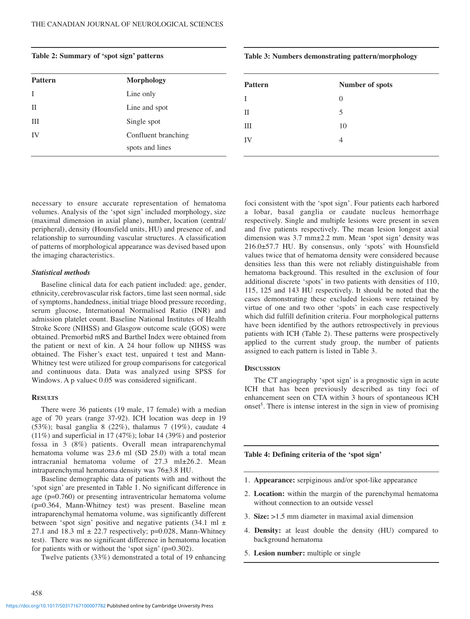necessary to ensure accurate representation of hematoma volumes. Analysis of the 'spot sign' included morphology, size (maximal dimension in axial plane), number, location (central/ peripheral), density (Hounsfield units, HU) and presence of, and relationship to surrounding vascular structures. A classification of patterns of morphological appearance was devised based upon the imaging characteristics.

# *Statistical methods*

Baseline clinical data for each patient included: age, gender, ethnicity, cerebrovascular risk factors, time last seen normal, side of symptoms, handedness, initial triage blood pressure recording, serum glucose, International Normalised Ratio (INR) and admission platelet count. Baseline National Institutes of Health Stroke Score (NIHSS) and Glasgow outcome scale (GOS) were obtained. Premorbid mRS and Barthel Index were obtained from the patient or next of kin. A 24 hour follow up NIHSS was obtained. The Fisher's exact test, unpaired t test and Mann-Whitney test were utilized for group comparisons for categorical and continuous data. Data was analyzed using SPSS for Windows. A p value< 0.05 was considered significant.

## **RESULTS**

458

There were 36 patients (19 male, 17 female) with a median age of 70 years (range 37-92). ICH location was deep in 19 (53%); basal ganglia 8 (22%), thalamus 7 (19%), caudate 4 (11%) and superficial in 17 (47%); lobar 14 (39%) and posterior fossa in 3 (8%) patients. Overall mean intraparenchymal hematoma volume was 23.6 ml (SD 25.0) with a total mean intracranial hematoma volume of 27.3 ml±26.2. Mean intraparenchymal hematoma density was 76±3.8 HU.

Baseline demographic data of patients with and without the 'spot sign' are presented in Table 1. No significant difference in age (p=0.760) or presenting intraventricular hematoma volume (p=0.364, Mann-Whitney test) was present. Baseline mean intraparenchymal hematoma volume, was significantly different between 'spot sign' positive and negative patients  $(34.1 \text{ ml } \pm)$ 27.1 and 18.3 ml  $\pm$  22.7 respectively; p=0.028, Mann-Whitney test). There was no significant difference in hematoma location for patients with or without the 'spot sign' (p=0.302).

Twelve patients (33%) demonstrated a total of 19 enhancing

foci consistent with the 'spot sign'. Four patients each harbored a lobar, basal ganglia or caudate nucleus hemorrhage respectively. Single and multiple lesions were present in seven and five patients respectively. The mean lesion longest axial dimension was 3.7 mm±2.2 mm. Mean 'spot sign' density was 216.0±57.7 HU. By consensus, only 'spots' with Hounsfield values twice that of hematoma density were considered because densities less than this were not reliably distinguishable from hematoma background. This resulted in the exclusion of four additional discrete 'spots' in two patients with densities of 110, 115, 125 and 143 HU respectively. It should be noted that the cases demonstrating these excluded lesions were retained by virtue of one and two other 'spots' in each case respectively which did fulfill definition criteria. Four morphological patterns have been identified by the authors retrospectively in previous patients with ICH (Table 2). These patterns were prospectively applied to the current study group, the number of patients assigned to each pattern is listed in Table 3.

## **DISCUSSION**

The CT angiography 'spot sign' is a prognostic sign in acute ICH that has been previously described as tiny foci of enhancement seen on CTA within 3 hours of spontaneous ICH onset<sup>5</sup>. There is intense interest in the sign in view of promising

## **Table 4: Defining criteria of the 'spot sign'**

- 1. **Appearance:** serpiginous and/or spot-like appearance
- 2. **Location:** within the margin of the parenchymal hematoma without connection to an outside vessel
- 3. **Size:** >1.5 mm diameter in maximal axial dimension
- 4. **Density:** at least double the density (HU) compared to background hematoma
- 5. **Lesion number:** multiple or single

## **Table 3: Numbers demonstrating pattern/morphology**

| <b>Pattern</b> | Number of spots |
|----------------|-----------------|
| T              | $\Omega$        |
| П              | 5               |
| Ш              | 10              |
| IV             | Λ               |
|                |                 |

| <b>Pattern</b> | <b>Morphology</b>   |  |
|----------------|---------------------|--|
|                | Line only           |  |
| П              | Line and spot       |  |
| Ш              | Single spot         |  |
| IV             | Confluent branching |  |
|                | spots and lines     |  |
|                |                     |  |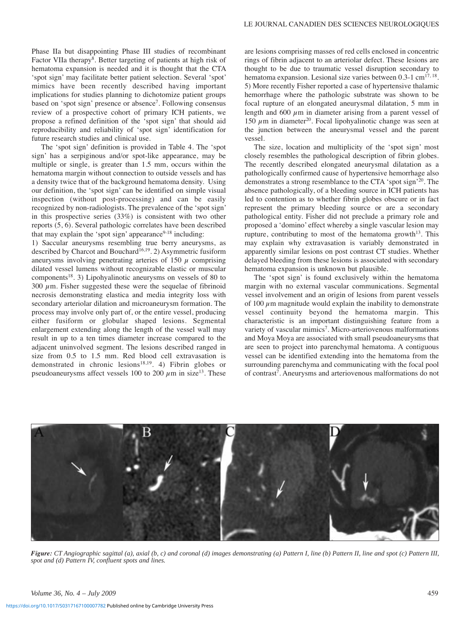Phase IIa but disappointing Phase III studies of recombinant Factor VIIa therapy<sup>8</sup>. Better targeting of patients at high risk of hematoma expansion is needed and it is thought that the CTA 'spot sign' may facilitate better patient selection. Several 'spot' mimics have been recently described having important implications for studies planning to dichotomize patient groups based on 'spot sign' presence or absence<sup>7</sup>. Following consensus review of a prospective cohort of primary ICH patients, we propose a refined definition of the 'spot sign' that should aid reproducibility and reliability of 'spot sign' identification for future research studies and clinical use.

The 'spot sign' definition is provided in Table 4. The 'spot sign' has a serpiginous and/or spot-like appearance, may be multiple or single, is greater than 1.5 mm, occurs within the hematoma margin without connection to outside vessels and has a density twice that of the background hematoma density. Using our definition, the 'spot sign' can be identified on simple visual inspection (without post-processing) and can be easily recognized by non-radiologists. The prevalence of the 'spot sign' in this prospective series (33%) is consistent with two other reports (5, 6). Several pathologic correlates have been described that may explain the 'spot sign' appearance $9-18$  including:

1) Saccular aneurysms resembling true berry aneurysms, as described by Charcot and Bouchard<sup>16,19</sup>. 2) Asymmetric fusiform aneurysms involving penetrating arteries of 150  $\mu$  comprising dilated vessel lumens without recognizable elastic or muscular components18. 3) Lipohyalinotic aneurysms on vessels of 80 to 300  $\mu$ m. Fisher suggested these were the sequelae of fibrinoid necrosis demonstrating elastica and media integrity loss with secondary arteriolar dilation and microaneurysm formation. The process may involve only part of, or the entire vessel, producing either fusiform or globular shaped lesions. Segmental enlargement extending along the length of the vessel wall may result in up to a ten times diameter increase compared to the adjacent uninvolved segment. The lesions described ranged in size from 0.5 to 1.5 mm. Red blood cell extravasation is demonstrated in chronic lesions<sup>18,19</sup>. 4) Fibrin globes or pseudoaneurysms affect vessels 100 to 200  $\mu$ m in size<sup>13</sup>. These

are lesions comprising masses of red cells enclosed in concentric rings of fibrin adjacent to an arteriolar defect. These lesions are thought to be due to traumatic vessel disruption secondary to hematoma expansion. Lesional size varies between 0.3-1 cm<sup>17, 18</sup>. 5) More recently Fisher reported a case of hypertensive thalamic hemorrhage where the pathologic substrate was shown to be focal rupture of an elongated aneurysmal dilatation, 5 mm in length and  $600 \mu m$  in diameter arising from a parent vessel of 150  $\mu$ m in diameter<sup>20</sup>. Focal lipohyalinotic change was seen at the junction between the aneurysmal vessel and the parent vessel.

The size, location and multiplicity of the 'spot sign' most closely resembles the pathological description of fibrin globes. The recently described elongated aneurysmal dilatation as a pathologically confirmed cause of hypertensive hemorrhage also demonstrates a strong resemblance to the CTA 'spot sign'20. The absence pathologically, of a bleeding source in ICH patients has led to contention as to whether fibrin globes obscure or in fact represent the primary bleeding source or are a secondary pathological entity. Fisher did not preclude a primary role and proposed a 'domino' effect whereby a single vascular lesion may rupture, contributing to most of the hematoma growth $13$ . This may explain why extravasation is variably demonstrated in apparently similar lesions on post contrast CT studies. Whether delayed bleeding from these lesions is associated with secondary hematoma expansion is unknown but plausible.

The 'spot sign' is found exclusively within the hematoma margin with no external vascular communications. Segmental vessel involvement and an origin of lesions from parent vessels of 100  $\mu$ m magnitude would explain the inability to demonstrate vessel continuity beyond the hematoma margin. This characteristic is an important distinguishing feature from a variety of vascular mimics<sup>7</sup>. Micro-arteriovenous malformations and Moya Moya are associated with small pseudoaneurysms that are seen to project into parenchymal hematoma. A contiguous vessel can be identified extending into the hematoma from the surrounding parenchyma and communicating with the focal pool of contrast<sup>7</sup>. Aneurysms and arteriovenous malformations do not



*Figure: CT Angiographic sagittal (a), axial (b, c) and coronal (d) images demonstrating (a) Pattern I, line (b) Pattern II, line and spot (c) Pattern III, spot and (d) Pattern IV, confluent spots and lines.*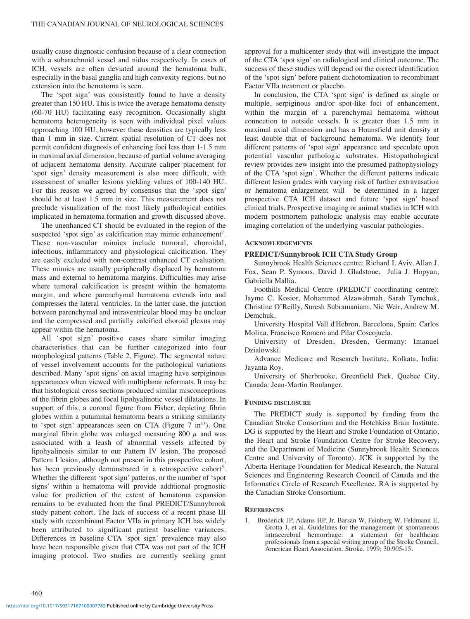usually cause diagnostic confusion because of a clear connection with a subarachnoid vessel and nidus respectively. In cases of ICH, vessels are often deviated around the hematoma bulk, especially in the basal ganglia and high convexity regions, but no extension into the hematoma is seen.

The 'spot sign' was consistently found to have a density greater than 150 HU. This is twice the average hematoma density (60-70 HU) facilitating easy recognition. Occasionally slight hematoma heterogeneity is seen with individual pixel values approaching 100 HU, however these densities are typically less than 1 mm in size. Current spatial resolution of CT does not permit confident diagnosis of enhancing foci less than 1-1.5 mm in maximal axial dimension, because of partial volume averaging of adjacent hematoma density. Accurate caliper placement for 'spot sign' density measurement is also more difficult, with assessment of smaller lesions yielding values of 100-140 HU. For this reason we agreed by consensus that the 'spot sign' should be at least 1.5 mm in size. This measurement does not preclude visualization of the most likely pathological entities implicated in hematoma formation and growth discussed above.

The unenhanced CT should be evaluated in the region of the suspected 'spot sign' as calcification may mimic enhancement<sup>7</sup>. These non-vascular mimics include tumoral, choroidal, infectious, inflammatory and physiological calcification. They are easily excluded with non-contrast enhanced CT evaluation. These mimics are usually peripherally displaced by hematoma mass and external to hematoma margins. Difficulties may arise where tumoral calcification is present within the hematoma margin, and where parenchymal hematoma extends into and compresses the lateral ventricles. In the latter case, the junction between parenchymal and intraventricular blood may be unclear and the compressed and partially calcified choroid plexus may appear within the hematoma.

All 'spot sign' positive cases share similar imaging characteristics that can be further categorized into four morphological patterns (Table 2, Figure). The segmental nature of vessel involvement accounts for the pathological variations described. Many 'spot signs' on axial imaging have serpiginous appearances when viewed with multiplanar reformats. It may be that histological cross sections produced similar misconceptions of the fibrin globes and focal lipohyalinotic vessel dilatations. In support of this, a coronal figure from Fisher, depicting fibrin globes within a putaminal hematoma bears a striking similarity to 'spot sign' appearances seen on CTA (Figure  $7 \text{ in}^{13}$ ). One marginal fibrin globe was enlarged measuring 800  $\mu$  and was associated with a leash of abnormal vessels affected by lipohyalinosis similar to our Pattern IV lesion. The proposed Pattern I lesion, although not present in this prospective cohort, has been previously demonstrated in a retrospective cohort<sup>5</sup>. Whether the different 'spot sign' patterns, or the number of 'spot signs' within a hematoma will provide additional prognostic value for prediction of the extent of hematoma expansion remains to be evaluated from the final PREDICT/Sunnybrook study patient cohort. The lack of success of a recent phase III study with recombinant Factor VIIa in primary ICH has widely been attributed to significant patient baseline variances. Differences in baseline CTA 'spot sign' prevalence may also have been responsible given that CTA was not part of the ICH imaging protocol. Two studies are currently seeking grant

approval for a multicenter study that will investigate the impact of the CTA 'spot sign' on radiological and clinical outcome. The success of these studies will depend on the correct identification of the 'spot sign' before patient dichotomization to recombinant Factor VIIa treatment or placebo.

In conclusion, the CTA 'spot sign' is defined as single or multiple, serpiginous and/or spot-like foci of enhancement, within the margin of a parenchymal hematoma without connection to outside vessels. It is greater than 1.5 mm in maximal axial dimension and has a Hounsfield unit density at least double that of background hematoma. We identify four different patterns of 'spot sign' appearance and speculate upon potential vascular pathologic substrates. Histopathological review provides new insight into the presumed pathophysiology of the CTA 'spot sign'. Whether the different patterns indicate different lesion grades with varying risk of further extravasation or hematoma enlargement will be determined in a larger prospective CTA ICH dataset and future 'spot sign' based clinical trials. Prospective imaging or animal studies in ICH with modern postmortem pathologic analysis may enable accurate imaging correlation of the underlying vascular pathologies.

#### **ACKNOWLEDGEMENTS**

#### **PREDICT/Sunnybrook ICH CTA Study Group**

Sunnybrook Health Sciences centre: Richard I. Aviv, Allan J. Fox, Sean P. Symons, David J. Gladstone, Julia J. Hopyan, Gabriella Mallia.

Foothills Medical Centre (PREDICT coordinating centre): Jayme C. Kosior, Mohammed Alzawahmah, Sarah Tymchuk, Christine O'Reilly, Suresh Subramaniam, Nic Weir, Andrew M. Demchuk.

University Hospital Vall d'Hebron, Barcelona, Spain: Carlos Molina, Francisco Romero and Pilar Coscojuela.

University of Dresden, Dresden, Germany: Imanuel Dzialowski.

Advance Medicare and Research Institute, Kolkata, India: Jayanta Roy.

University of Sherbrooke, Greenfield Park, Quebec City, Canada: Jean-Martin Boulanger.

### **FUNDING DISCLOSURE**

The PREDICT study is supported by funding from the Canadian Stroke Consortium and the Hotchkiss Brain Institute. DG is supported by the Heart and Stroke Foundation of Ontario, the Heart and Stroke Foundation Centre for Stroke Recovery, and the Department of Medicine (Sunnybrook Health Sciences Centre and University of Toronto). JCK is supported by the Alberta Heritage Foundation for Medical Research, the Natural Sciences and Engineering Research Council of Canada and the Informatics Circle of Research Excellence. RA is supported by the Canadian Stroke Consortium.

#### **REFERENCES**

1. Broderick JP, Adams HP, Jr, Barsan W, Feinberg W, Feldmann E, Grotta J, et al. Guidelines for the management of spontaneous intracerebral hemorrhage: a statement for healthcare professionals from a special writing group of the Stroke Council, American Heart Association. Stroke. 1999; 30:905-15.